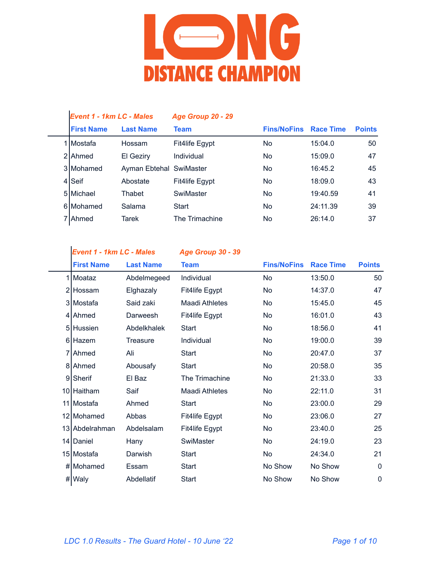

| <b>Event 1 - 1km LC - Males</b> |                         | <b>Age Group 20 - 29</b> |                    |                  |               |
|---------------------------------|-------------------------|--------------------------|--------------------|------------------|---------------|
| <b>First Name</b>               | <b>Last Name</b>        | <b>Team</b>              | <b>Fins/NoFins</b> | <b>Race Time</b> | <b>Points</b> |
| 1 I Mostafa                     | Hossam                  | Fit4life Egypt           | No.                | 15:04.0          | 50            |
| 2 Ahmed                         | El Geziry               | Individual               | No.                | 15:09.0          | 47            |
| 3 Mohamed                       | Ayman Ebtehal SwiMaster |                          | No.                | 16:45.2          | 45            |
| 4 Seif                          | Abostate                | Fit4life Egypt           | No.                | 18:09.0          | 43            |
| 5 Michael                       | Thabet                  | SwiMaster                | <b>No</b>          | 19:40.59         | 41            |
| 6 Mohamed                       | Salama                  | Start                    | <b>No</b>          | 24:11.39         | 39            |
| 7 Ahmed                         | Tarek                   | The Trimachine           | No                 | 26:14.0          | 37            |

*Event 1 - 1km LC - Males Age Group 30 - 39*

|   | <b>First Name</b> | <b>Last Name</b> | <b>Team</b>    | <b>Fins/NoFins</b> | <b>Race Time</b> | <b>Points</b> |
|---|-------------------|------------------|----------------|--------------------|------------------|---------------|
| 1 | Moataz            | Abdelmegeed      | Individual     | No                 | 13:50.0          | 50            |
|   | 2 Hossam          | Elghazaly        | Fit4life Egypt | No                 | 14:37.0          | 47            |
|   | 3 Mostafa         | Said zaki        | Maadi Athletes | No                 | 15:45.0          | 45            |
|   | 4 Ahmed           | Darweesh         | Fit4life Egypt | No                 | 16:01.0          | 43            |
|   | 5 Hussien         | Abdelkhalek      | Start          | No                 | 18:56.0          | 41            |
|   | 6 Hazem           | <b>Treasure</b>  | Individual     | No                 | 19:00.0          | 39            |
|   | 7 Ahmed           | Ali              | <b>Start</b>   | No                 | 20:47.0          | 37            |
|   | 8 Ahmed           | Abousafy         | Start          | No                 | 20:58.0          | 35            |
|   | 9 Sherif          | El Baz           | The Trimachine | No                 | 21:33.0          | 33            |
|   | 10 Haitham        | Saif             | Maadi Athletes | No                 | 22:11.0          | 31            |
|   | 11 Mostafa        | Ahmed            | Start          | <b>No</b>          | 23:00.0          | 29            |
|   | 12 Mohamed        | Abbas            | Fit4life Egypt | <b>No</b>          | 23:06.0          | 27            |
|   | 13 Abdelrahman    | Abdelsalam       | Fit4life Egypt | No                 | 23:40.0          | 25            |
|   | 14 Daniel         | Hany             | SwiMaster      | No                 | 24:19.0          | 23            |
|   | 15 Mostafa        | Darwish          | Start          | No                 | 24:34.0          | 21            |
|   | # Mohamed         | Essam            | Start          | No Show            | No Show          | 0             |
|   | # Waly            | Abdellatif       | <b>Start</b>   | No Show            | No Show          | 0             |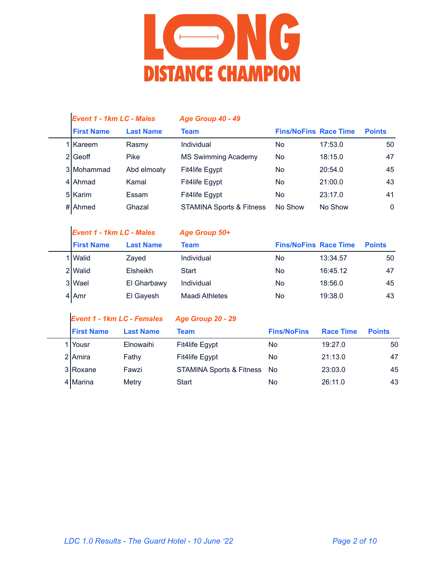

| <b>Event 1 - 1km LC - Males</b> |                  | Age Group 40 - 49                   |                              |         |               |
|---------------------------------|------------------|-------------------------------------|------------------------------|---------|---------------|
| <b>First Name</b>               | <b>Last Name</b> | Team                                | <b>Fins/NoFins Race Time</b> |         | <b>Points</b> |
| 1 Kareem                        | Rasmy            | Individual                          | No                           | 17:53.0 | 50            |
| 2 Geoff                         | Pike             | <b>MS Swimming Academy</b>          | No                           | 18:15.0 | 47            |
| 3 Mohammad                      | Abd elmoaty      | Fit4life Egypt                      | No                           | 20:54.0 | 45            |
| 4 Ahmad                         | Kamal            | Fit4life Egypt                      | N <sub>o</sub>               | 21:00.0 | 43            |
| 5 Karim                         | Essam            | Fit4life Egypt                      | No                           | 23:17.0 | 41            |
| #lAhmed                         | Ghazal           | <b>STAMINA Sports &amp; Fitness</b> | No Show                      | No Show | $\mathbf{0}$  |

| <b>Event 1 - 1km LC - Males</b> |                  | Age Group 50+  |                              |          |               |
|---------------------------------|------------------|----------------|------------------------------|----------|---------------|
| <b>First Name</b>               | <b>Last Name</b> | Team           | <b>Fins/NoFins Race Time</b> |          | <b>Points</b> |
| 1   Walid                       | Zayed            | Individual     | No                           | 13:34.57 | 50            |
| 2 Walid                         | Elsheikh         | Start          | No                           | 16:45.12 | 47            |
| 3 Wael                          | El Gharbawy      | Individual     | No                           | 18:56.0  | 45            |
| $4$  Amr                        | El Gayesh        | Maadi Athletes | No                           | 19:38.0  | 43            |

|  | <b>Event 1 - 1km LC - Females</b> |                  | Age Group 20 - 29                   |                    |                  |               |  |
|--|-----------------------------------|------------------|-------------------------------------|--------------------|------------------|---------------|--|
|  | <b>First Name</b>                 | <b>Last Name</b> | Team                                | <b>Fins/NoFins</b> | <b>Race Time</b> | <b>Points</b> |  |
|  | ∣ lYousr                          | Elnowaihi        | Fit4life Egypt                      | No                 | 19:27.0          | 50            |  |
|  | 2 Amira                           | Fathy            | Fit4life Egypt                      | No                 | 21:13.0          | 47            |  |
|  | 3 Roxane                          | Fawzi            | <b>STAMINA Sports &amp; Fitness</b> | No.                | 23:03.0          | 45            |  |
|  | 4 Marina                          | Metry            | Start                               | No                 | 26:11.0          | 43            |  |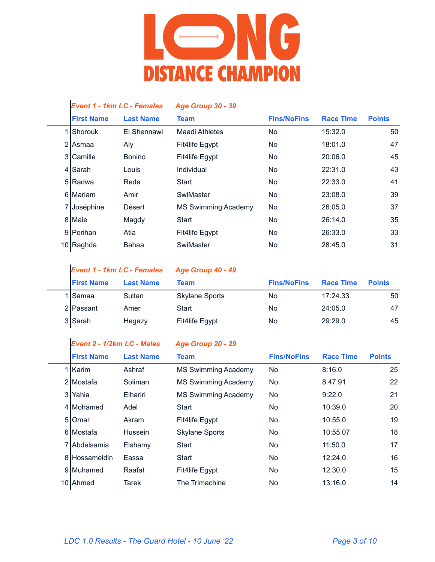

| <b>Event 1 - 1km LC - Females</b> |                  | <b>Age Group 30 - 39</b>   |                    |                  |               |
|-----------------------------------|------------------|----------------------------|--------------------|------------------|---------------|
| <b>First Name</b>                 | <b>Last Name</b> | <b>Team</b>                | <b>Fins/NoFins</b> | <b>Race Time</b> | <b>Points</b> |
| Shorouk                           | El Shennawi      | Maadi Athletes             | No                 | 15:32.0          | 50            |
| 2 Asmaa                           | Aly              | Fit4life Egypt             | No.                | 18:01.0          | 47            |
| 3 Camille                         | <b>Bonino</b>    | Fit4life Egypt             | No                 | 20:06.0          | 45            |
| 4 Sarah                           | Louis            | Individual                 | No.                | 22:31.0          | 43            |
| 5 Radwa                           | Reda             | Start                      | No.                | 22:33.0          | 41            |
| 6 Mariam                          | Amir             | SwiMaster                  | No.                | 23:08.0          | 39            |
| 7 Joséphine                       | Désert           | <b>MS Swimming Academy</b> | No                 | 26:05.0          | 37            |
| 8 Maie                            | Magdy            | <b>Start</b>               | No.                | 26:14.0          | 35            |
| 9   Perihan                       | Atia             | Fit4life Egypt             | No.                | 26:33.0          | 33            |
| 10 Raghda                         | Bahaa            | SwiMaster                  | No                 | 28:45.0          | 31            |
|                                   |                  |                            |                    |                  |               |

|                   | <b>Event 1 - 1km LC - Females</b> | <b>Age Group 40 - 49</b> |                    |                  |               |
|-------------------|-----------------------------------|--------------------------|--------------------|------------------|---------------|
| <b>First Name</b> | <b>Last Name</b>                  | Team                     | <b>Fins/NoFins</b> | <b>Race Time</b> | <b>Points</b> |
| 1 Samaa           | Sultan                            | <b>Skylane Sports</b>    | No                 | 17:24.33         | 50            |
| 2 Passant         | Amer                              | Start                    | No                 | 24:05.0          | 47            |
| 3 Sarah           | Hegazy                            | Fit4life Egypt           | No                 | 29:29.0          | 45            |

## *Event 2 - 1/2km LC - Males Age Group 20 - 29*

| <b>First Name</b>  | <b>Last Name</b> | Team                       | <b>Fins/NoFins</b> | <b>Race Time</b> | <b>Points</b> |
|--------------------|------------------|----------------------------|--------------------|------------------|---------------|
| 1   Karim          | Ashraf           | <b>MS Swimming Academy</b> | No.                | 8:16.0           | 25            |
| 2 Mostafa          | Soliman          | <b>MS Swimming Academy</b> | <b>No</b>          | 8:47.91          | 22            |
| 3 Yahia            | Elhariri         | <b>MS Swimming Academy</b> | <b>No</b>          | 9:22.0           | 21            |
| 4 Mohamed          | Adel             | Start                      | No.                | 10:39.0          | 20            |
| 510 <sub>mar</sub> | Akram            | Fit4life Egypt             | <b>No</b>          | 10:55.0          | 19            |
| 6 Mostafa          | Hussein          | <b>Skylane Sports</b>      | <b>No</b>          | 10:55.07         | 18            |
| 7 Abdelsamia       | Elshamy          | <b>Start</b>               | No.                | 11:50.0          | 17            |
| 8 Hossameldin      | Eassa            | <b>Start</b>               | <b>No</b>          | 12:24.0          | 16            |
| 9 Muhamed          | Raafat           | Fit4life Egypt             | No.                | 12:30.0          | 15            |
| 10 Ahmed           | Tarek            | The Trimachine             | No.                | 13:16.0          | 14            |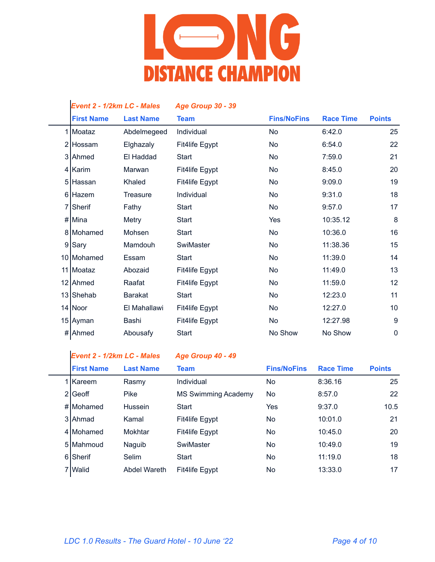

| <b>Event 2 - 1/2km LC - Males</b> |                  | <b>Age Group 30 - 39</b> |                    |                  |               |
|-----------------------------------|------------------|--------------------------|--------------------|------------------|---------------|
| <b>First Name</b>                 | <b>Last Name</b> | <b>Team</b>              | <b>Fins/NoFins</b> | <b>Race Time</b> | <b>Points</b> |
| 1 Moataz                          | Abdelmegeed      | Individual               | <b>No</b>          | 6:42.0           | 25            |
| 2 Hossam                          | Elghazaly        | Fit4life Egypt           | <b>No</b>          | 6:54.0           | 22            |
| 3 Ahmed                           | El Haddad        | <b>Start</b>             | <b>No</b>          | 7:59.0           | 21            |
| 4 Karim                           | Marwan           | Fit4life Egypt           | <b>No</b>          | 8:45.0           | 20            |
| 5 Hassan                          | Khaled           | Fit4life Egypt           | <b>No</b>          | 9:09.0           | 19            |
| 6 Hazem                           | <b>Treasure</b>  | Individual               | <b>No</b>          | 9:31.0           | 18            |
| 7 Sherif                          | Fathy            | <b>Start</b>             | <b>No</b>          | 9:57.0           | 17            |
| # Mina                            | Metry            | <b>Start</b>             | Yes                | 10:35.12         | 8             |
| 8 Mohamed                         | Mohsen           | <b>Start</b>             | <b>No</b>          | 10:36.0          | 16            |
| 9 Sary                            | Mamdouh          | SwiMaster                | <b>No</b>          | 11:38.36         | 15            |
| 10 Mohamed                        | Essam            | <b>Start</b>             | <b>No</b>          | 11:39.0          | 14            |
| 11 Moataz                         | Abozaid          | Fit4life Egypt           | <b>No</b>          | 11:49.0          | 13            |
| 12 Ahmed                          | Raafat           | Fit4life Egypt           | <b>No</b>          | 11:59.0          | 12            |
| 13 Shehab                         | <b>Barakat</b>   | <b>Start</b>             | <b>No</b>          | 12:23.0          | 11            |
| 14 Noor                           | El Mahallawi     | Fit4life Egypt           | <b>No</b>          | 12:27.0          | 10            |
| 15 Ayman                          | Bashi            | Fit4life Egypt           | No.                | 12:27.98         | 9             |
| # Ahmed                           | Abousafy         | Start                    | No Show            | No Show          | $\mathbf 0$   |
|                                   |                  |                          |                    |                  |               |

| <b>Event 2 - 1/2km LC - Males</b> |                     | Age Group 40 - 49   |                    |                  |               |
|-----------------------------------|---------------------|---------------------|--------------------|------------------|---------------|
| <b>First Name</b>                 | <b>Last Name</b>    | <b>Team</b>         | <b>Fins/NoFins</b> | <b>Race Time</b> | <b>Points</b> |
| 1 Kareem                          | Rasmy               | Individual          | No.                | 8:36.16          | 25            |
| 2 Geoff                           | <b>Pike</b>         | MS Swimming Academy | No.                | 8:57.0           | 22            |
| #IMohamed                         | Hussein             | Start               | Yes                | 9:37.0           | 10.5          |
| 3 Ahmad                           | Kamal               | Fit4life Egypt      | No.                | 10:01.0          | 21            |
| 4 Mohamed                         | Mokhtar             | Fit4life Egypt      | No.                | 10:45.0          | 20            |
| 5 Mahmoud                         | Naguib              | SwiMaster           | No.                | 10:49.0          | 19            |
| 6 Sherif                          | Selim               | Start               | No.                | 11:19.0          | 18            |
| 7 Walid                           | <b>Abdel Wareth</b> | Fit4life Egypt      | No                 | 13:33.0          | 17            |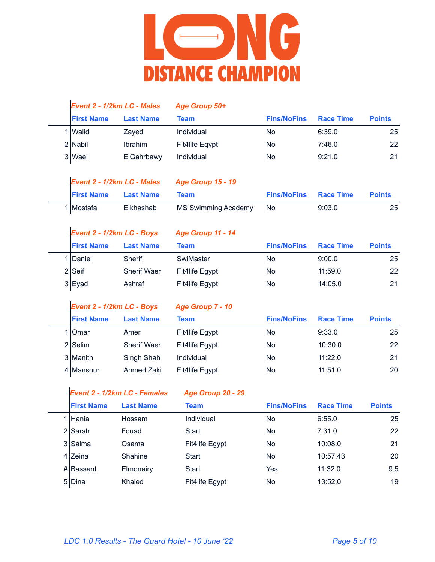

|   |                           | Event 2 - 1/2km LC - Males          | Age Group 50+              |                    |                  |               |
|---|---------------------------|-------------------------------------|----------------------------|--------------------|------------------|---------------|
|   | <b>First Name</b>         | <b>Last Name</b>                    | <b>Team</b>                | <b>Fins/NoFins</b> | <b>Race Time</b> | <b>Points</b> |
|   | 1   Walid                 | Zayed                               | Individual                 | <b>No</b>          | 6:39.0           | 25            |
|   | 2 Nabil                   | Ibrahim                             | Fit4life Egypt             | <b>No</b>          | 7:46.0           | 22            |
|   | 3 Wael                    | ElGahrbawy                          | Individual                 | No                 | 9:21.0           | 21            |
|   |                           |                                     |                            |                    |                  |               |
|   |                           | Event 2 - 1/2km LC - Males          | <b>Age Group 15 - 19</b>   |                    |                  |               |
|   | <b>First Name</b>         | <b>Last Name</b>                    | <b>Team</b>                | <b>Fins/NoFins</b> | <b>Race Time</b> | <b>Points</b> |
|   | 1 Mostafa                 | Elkhashab                           | <b>MS Swimming Academy</b> | <b>No</b>          | 9:03.0           | 25            |
|   |                           |                                     |                            |                    |                  |               |
|   | Event 2 - 1/2km LC - Boys |                                     | Age Group 11 - 14          |                    |                  |               |
|   | <b>First Name</b>         | <b>Last Name</b>                    | <b>Team</b>                | <b>Fins/NoFins</b> | <b>Race Time</b> | <b>Points</b> |
| 1 | Daniel                    | Sherif                              | SwiMaster                  | No                 | 9:00.0           | 25            |
|   | $2$ Seif                  | Sherif Waer                         | Fit4life Egypt             | <b>No</b>          | 11:59.0          | 22            |
|   | 3 Eyad                    | Ashraf                              | Fit4life Egypt             | <b>No</b>          | 14:05.0          | 21            |
|   |                           |                                     |                            |                    |                  |               |
|   |                           |                                     |                            |                    |                  |               |
|   | Event 2 - 1/2km LC - Boys |                                     | Age Group 7 - 10           |                    |                  |               |
|   | <b>First Name</b>         | <b>Last Name</b>                    | <b>Team</b>                | <b>Fins/NoFins</b> | <b>Race Time</b> | <b>Points</b> |
|   | 1 Omar                    | Amer                                | Fit4life Egypt             | No                 | 9:33.0           | 25            |
|   | $2$ Selim                 | Sherif Waer                         | Fit4life Egypt             | No                 | 10:30.0          | 22            |
|   | 3 Manith                  | Singh Shah                          | Individual                 | <b>No</b>          | 11:22.0          | 21            |
|   | 4 Mansour                 | Ahmed Zaki                          | Fit4life Egypt             | <b>No</b>          | 11:51.0          | 20            |
|   |                           |                                     |                            |                    |                  |               |
|   |                           | <b>Event 2 - 1/2km LC - Females</b> | Age Group 20 - 29          |                    |                  |               |
|   | <b>First Name</b>         | <b>Last Name</b>                    | <b>Team</b>                | <b>Fins/NoFins</b> | <b>Race Time</b> | <b>Points</b> |
|   | 1 Hania                   | Hossam                              | Individual                 | No                 | 6:55.0           | 25            |
|   | 2 Sarah                   | Fouad                               | Start                      | <b>No</b>          | 7:31.0           | 22            |
|   | 3 Salma                   | Osama                               | Fit4life Egypt             | No                 | 10:08.0          | 21            |
|   | 4 Zeina                   | Shahine                             | Start                      | No                 | 10:57.43         | 20            |
|   | # Bassant                 | Elmonairy                           | Start                      | Yes                | 11:32.0          | 9.5           |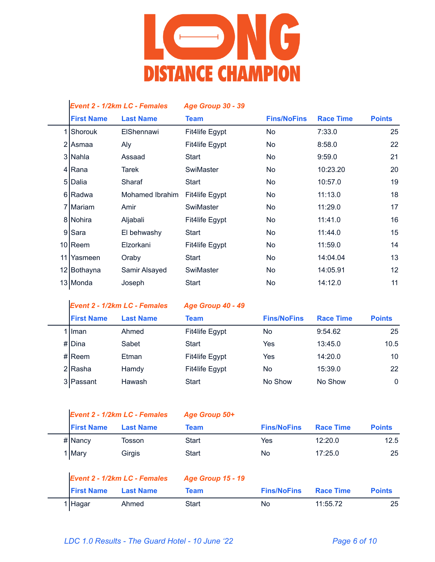

|   |                   | Event 2 - 1/2km LC - Females        | <b>Age Group 30 - 39</b> |                    |                  |               |
|---|-------------------|-------------------------------------|--------------------------|--------------------|------------------|---------------|
|   | <b>First Name</b> | <b>Last Name</b>                    | <b>Team</b>              | <b>Fins/NoFins</b> | <b>Race Time</b> | <b>Points</b> |
| 1 | Shorouk           | ElShennawi                          | Fit4life Egypt           | <b>No</b>          | 7:33.0           | 25            |
|   | 2 Asmaa           | Aly                                 | Fit4life Egypt           | <b>No</b>          | 8:58.0           | 22            |
|   | 3 Nahla           | Assaad                              | <b>Start</b>             | <b>No</b>          | 9:59.0           | 21            |
|   | $4$ Rana          | <b>Tarek</b>                        | SwiMaster                | <b>No</b>          | 10:23.20         | 20            |
|   | 5 Dalia           | Sharaf                              | Start                    | <b>No</b>          | 10:57.0          | 19            |
|   | 6 Radwa           | Mohamed Ibrahim                     | Fit4life Egypt           | <b>No</b>          | 11:13.0          | 18            |
|   | 7 Mariam          | Amir                                | SwiMaster                | <b>No</b>          | 11:29.0          | 17            |
|   | 8 Nohira          | Aljabali                            | Fit4life Egypt           | <b>No</b>          | 11:41.0          | 16            |
| 9 | Sara              | El behwashy                         | <b>Start</b>             | <b>No</b>          | 11:44.0          | 15            |
|   | $10$ Reem         | Elzorkani                           | Fit4life Egypt           | <b>No</b>          | 11:59.0          | 14            |
|   | 11 Yasmeen        | Oraby                               | Start                    | <b>No</b>          | 14:04.04         | 13            |
|   | 12 Bothayna       | Samir Alsayed                       | SwiMaster                | <b>No</b>          | 14:05.91         | 12            |
|   | 13 Monda          | Joseph                              | <b>Start</b>             | <b>No</b>          | 14:12.0          | 11            |
|   |                   | <b>Event 2 - 1/2km LC - Females</b> | Age Group 40 - 49        |                    |                  |               |
|   | <b>First Name</b> | <b>Last Name</b>                    | <b>Team</b>              | <b>Fins/NoFins</b> | <b>Race Time</b> | <b>Points</b> |
| 1 | Iman              | Ahmed                               | Fit4life Egypt           | <b>No</b>          | 9:54.62          | 25            |
|   | # Dina            | Sabet                               | <b>Start</b>             | Yes                | 13:45.0          | 10.5          |
|   | # $Recm$          | Etman                               | Fit4life Egypt           | Yes                | 14:20.0          | 10            |
|   |                   | Hamdy                               | Fit4life Egypt           | <b>No</b>          | 15:39.0          | 22            |
|   | 2 Rasha           |                                     |                          |                    |                  |               |

|                    |                              | $1.99$ $-1.90$           |                    |                  |               |
|--------------------|------------------------------|--------------------------|--------------------|------------------|---------------|
| <b>First Name</b>  | <b>Last Name</b>             | Team                     | <b>Fins/NoFins</b> | <b>Race Time</b> | <b>Points</b> |
| $# $ Nancy         | Tosson                       | Start                    | Yes                | 12:20.0          | 12.5          |
| 1 Mary             | Girgis                       | Start                    | No                 | 17:25.0          | 25            |
|                    | Event 2 - 1/2km LC - Females | <b>Age Group 15 - 19</b> |                    |                  |               |
| <b>IFirst Name</b> | <b>Last Name</b>             | Team                     | <b>Fins/NoFins</b> | <b>Race Time</b> | <b>Points</b> |

| <b>First Name</b> | <b>Last Name</b> | Team  | <b>Fins/NoFins</b> | <b>Race Time</b> | <b>Points</b> |
|-------------------|------------------|-------|--------------------|------------------|---------------|
| 1   Hagar         | Ahmed            | Start | No                 | 11:55.72         | 25            |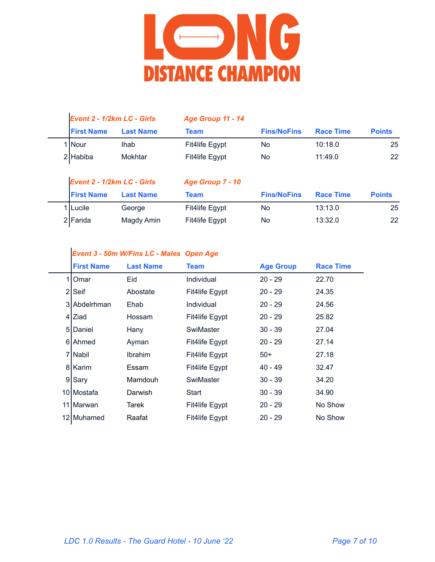

| Event 2 - 1/2km LC - Girls |                  | Age Group 11 - 14 |                    |                  |               |
|----------------------------|------------------|-------------------|--------------------|------------------|---------------|
| <b>First Name</b>          | <b>Last Name</b> | Team              | <b>Fins/NoFins</b> | <b>Race Time</b> | <b>Points</b> |
| 1   Nour                   | <b>Ihab</b>      | Fit4life Egypt    | No                 | 10:18.0          | 25            |
| 2 Habiba                   | Mokhtar          | Fit4life Egypt    | No                 | 11:49.0          | 22            |

| Event 2 - 1/2km LC - Girls |                  | <b>Age Group 7 - 10</b> |                    |                  |                 |
|----------------------------|------------------|-------------------------|--------------------|------------------|-----------------|
| <b>First Name</b>          | <b>Last Name</b> | Team                    | <b>Fins/NoFins</b> | <b>Race Time</b> | <b>Points</b>   |
| 1   Lucile                 | George           | Fit4life Egypt          | No                 | 13:13.0          | 25              |
| 2 Farida                   | Magdy Amin       | Fit4life Egypt          | No                 | 13:32.0          | 22 <sub>2</sub> |

#### *Event 3 - 50m W/Fins LC - Males Open Age*

|    | <b>First Name</b>  | <b>Last Name</b> | <b>Team</b>    | <b>Age Group</b> | <b>Race Time</b> |
|----|--------------------|------------------|----------------|------------------|------------------|
|    | 110 <sub>mar</sub> | Eid              | Individual     | $20 - 29$        | 22.70            |
|    | $2$ Seif           | Abostate         | Fit4life Egypt | $20 - 29$        | 24.35            |
|    | 3 Abdelrhman       | Ehab             | Individual     | $20 - 29$        | 24.56            |
|    | 4 I Ziad           | Hossam           | Fit4life Egypt | 20 - 29          | 25.82            |
|    | 5   Daniel         | Hany             | SwiMaster      | $30 - 39$        | 27.04            |
|    | 6 Ahmed            | Ayman            | Fit4life Egypt | $20 - 29$        | 27.14            |
|    | 7 Nabil            | <b>Ibrahim</b>   | Fit4life Egypt | $50+$            | 27.18            |
|    | 8   Karim          | Essam            | Fit4life Egypt | 40 - 49          | 32.47            |
|    | 9 Sary             | Mamdouh          | SwiMaster      | $30 - 39$        | 34.20            |
|    | 10   Mostafa       | Darwish          | Start          | $30 - 39$        | 34.90            |
| 11 | <b>IMarwan</b>     | Tarek            | Fit4life Egypt | $20 - 29$        | No Show          |
|    | 12 Muhamed         | Raafat           | Fit4life Egypt | $20 - 29$        | No Show          |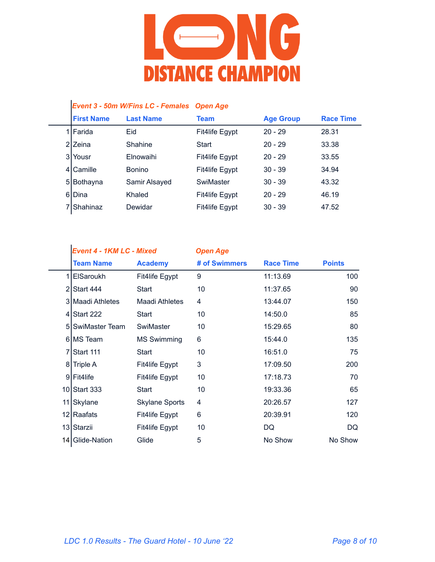

#### *Event 3 - 50m W/Fins LC - Females Open Age*

|     | <b>First Name</b>    | <b>Last Name</b> | <b>Team</b>    | <b>Age Group</b> | <b>Race Time</b> |
|-----|----------------------|------------------|----------------|------------------|------------------|
|     | 1 Farida             | Eid              | Fit4life Egypt | $20 - 29$        | 28.31            |
|     | 2 <sub>I</sub> Zeina | Shahine          | Start          | $20 - 29$        | 33.38            |
| 3 I | Yousr                | Elnowaihi        | Fit4life Egypt | $20 - 29$        | 33.55            |
|     | 4 Camille            | <b>Bonino</b>    | Fit4life Egypt | $30 - 39$        | 34.94            |
| 51  | Bothayna             | Samir Alsayed    | SwiMaster      | $30 - 39$        | 43.32            |
|     | 6 Dina               | Khaled           | Fit4life Egypt | $20 - 29$        | 46.19            |
|     | 7 Shahinaz           | Dewidar          | Fit4life Egypt | $30 - 39$        | 47.52            |

| <b>Event 4 - 1KM LC - Mixed</b> | <b>Open Age</b> |
|---------------------------------|-----------------|
|                                 |                 |

|                | <b>Team Name</b>      | <b>Academy</b>        | # of Swimmers | <b>Race Time</b> | <b>Points</b> |
|----------------|-----------------------|-----------------------|---------------|------------------|---------------|
| 11             | <b>ElSaroukh</b>      | Fit4life Egypt        | 9             | 11:13.69         | 100           |
| $\overline{2}$ | Start 444             | Start                 | 10            | 11:37.65         | 90            |
|                | 3 Maadi Athletes      | Maadi Athletes        | 4             | 13:44.07         | 150           |
|                | $4$ Start 222         | Start                 | 10            | 14:50.0          | 85            |
| 51             | <b>SwiMaster Team</b> | SwiMaster             | 10            | 15:29.65         | 80            |
|                | 6 MS Team             | <b>MS Swimming</b>    | 6             | 15:44.0          | 135           |
| $\overline{7}$ | Start 111             | Start                 | 10            | 16:51.0          | 75            |
| 8              | Triple A              | Fit4life Egypt        | 3             | 17:09.50         | 200           |
|                | 9 Fit4life            | Fit4life Egypt        | 10            | 17:18.73         | 70            |
|                | 10 Start 333          | Start                 | 10            | 19:33.36         | 65            |
|                | 11 Skylane            | <b>Skylane Sports</b> | 4             | 20:26.57         | 127           |
|                | 12 Raafats            | Fit4life Egypt        | 6             | 20:39.91         | 120           |
|                | 13 Starzii            | Fit4life Egypt        | 10            | DQ               | DQ            |
|                | 14 Glide-Nation       | Glide                 | 5             | No Show          | No Show       |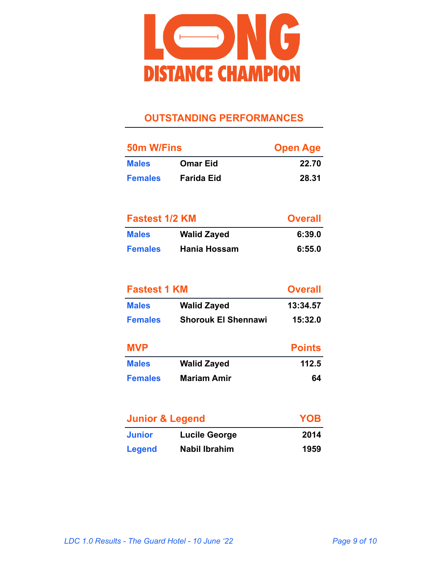

### **OUTSTANDING PERFORMANCES**

| 50m W/Fins     |                   | <b>Open Age</b> |
|----------------|-------------------|-----------------|
| <b>Males</b>   | <b>Omar Eid</b>   | 22.70           |
| <b>Females</b> | <b>Farida Eid</b> | 28.31           |

| <b>Fastest 1/2 KM</b> |                     | <b>Overall</b> |
|-----------------------|---------------------|----------------|
| <b>Males</b>          | <b>Walid Zayed</b>  | 6:39.0         |
| <b>Females</b>        | <b>Hania Hossam</b> | 6:55.0         |

| <b>Fastest 1 KM</b> | <b>Overall</b>             |               |
|---------------------|----------------------------|---------------|
| <b>Males</b>        | <b>Walid Zayed</b>         | 13:34.57      |
| <b>Females</b>      | <b>Shorouk El Shennawi</b> | 15:32.0       |
| <b>MVP</b>          |                            | <b>Points</b> |
| <b>Males</b>        | <b>Walid Zayed</b>         | 112.5         |
| <b>Females</b>      | <b>Mariam Amir</b>         | 64            |

| <b>Junior &amp; Legend</b> |               | <b>YOB</b> |
|----------------------------|---------------|------------|
| <b>Junior</b>              | Lucile George | 2014       |
| <b>Legend</b>              | Nabil Ibrahim | 1959       |